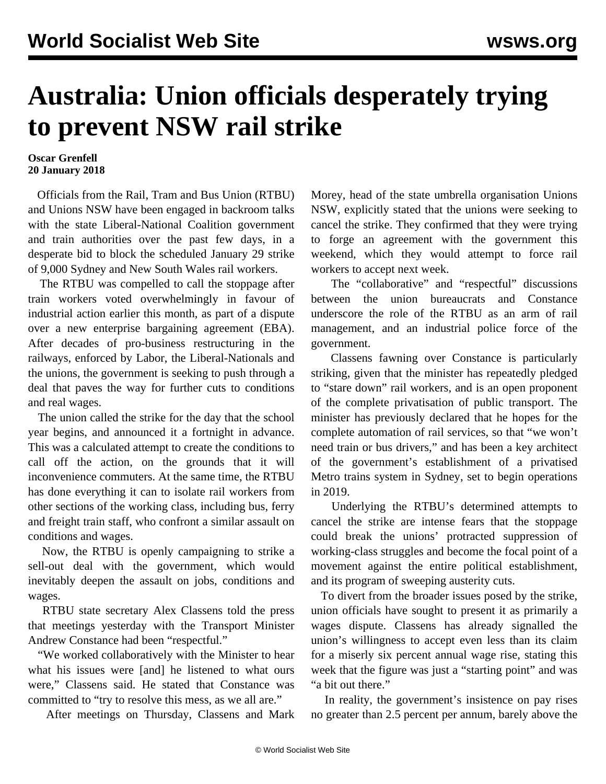## **Australia: Union officials desperately trying to prevent NSW rail strike**

## **Oscar Grenfell 20 January 2018**

 Officials from the Rail, Tram and Bus Union (RTBU) and Unions NSW have been engaged in backroom talks with the state Liberal-National Coalition government and train authorities over the past few days, in a desperate bid to block the scheduled January 29 strike of 9,000 Sydney and New South Wales rail workers.

 The RTBU was compelled to call the stoppage after train workers voted overwhelmingly in favour of industrial action earlier this month, as part of a dispute over a new enterprise bargaining agreement (EBA). After decades of pro-business restructuring in the railways, enforced by Labor, the Liberal-Nationals and the unions, the government is seeking to push through a deal that paves the way for further cuts to conditions and real wages.

 The union called the strike for the day that the school year begins, and announced it a fortnight in advance. This was a calculated attempt to create the conditions to call off the action, on the grounds that it will inconvenience commuters. At the same time, the RTBU has done everything it can to isolate rail workers from other sections of the working class, including bus, ferry and freight train staff, who confront a similar assault on conditions and wages.

 Now, the RTBU is openly campaigning to strike a sell-out deal with the government, which would inevitably deepen the assault on jobs, conditions and wages.

 RTBU state secretary Alex Classens told the press that meetings yesterday with the Transport Minister Andrew Constance had been "respectful."

 "We worked collaboratively with the Minister to hear what his issues were [and] he listened to what ours were," Classens said. He stated that Constance was committed to "try to resolve this mess, as we all are."

After meetings on Thursday, Classens and Mark

Morey, head of the state umbrella organisation Unions NSW, explicitly stated that the unions were seeking to cancel the strike. They confirmed that they were trying to forge an agreement with the government this weekend, which they would attempt to force rail workers to accept next week.

 The "collaborative" and "respectful" discussions between the union bureaucrats and Constance underscore the role of the RTBU as an arm of rail management, and an industrial police force of the government.

 Classens fawning over Constance is particularly striking, given that the minister has repeatedly pledged to "stare down" rail workers, and is an open proponent of the complete privatisation of public transport. The minister has previously declared that he hopes for the complete automation of rail services, so that "we won't need train or bus drivers," and has been a key architect of the government's establishment of a privatised Metro trains system in Sydney, set to begin operations in 2019.

 Underlying the RTBU's determined attempts to cancel the strike are intense fears that the stoppage could break the unions' protracted suppression of working-class struggles and become the focal point of a movement against the entire political establishment, and its program of sweeping austerity cuts.

 To divert from the broader issues posed by the strike, union officials have sought to present it as primarily a wages dispute. Classens has already signalled the union's willingness to accept even less than its claim for a miserly six percent annual wage rise, stating this week that the figure was just a "starting point" and was "a bit out there."

 In reality, the government's insistence on pay rises no greater than 2.5 percent per annum, barely above the